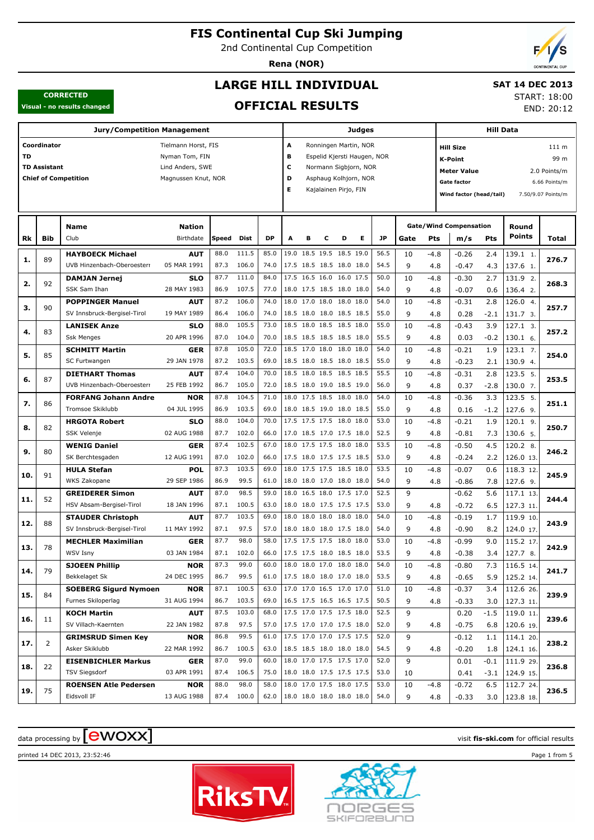2nd Continental Cup Competition

**Rena (NOR)**

## **LARGE HILL INDIVIDUAL**

### **SAT 14 DEC 2013** START: 18:00

END: 20:12

### **CORRECTED Visual - no results changed**

## **OFFICIAL RESULTS**

|     |                     | <b>Jury/Competition Management</b>                      |                           |              |              |                                 |                          |   |                                                      |   | Judges                |              |                         |               |                               | Hill Data          |                        |               |
|-----|---------------------|---------------------------------------------------------|---------------------------|--------------|--------------|---------------------------------|--------------------------|---|------------------------------------------------------|---|-----------------------|--------------|-------------------------|---------------|-------------------------------|--------------------|------------------------|---------------|
|     | Coordinator         |                                                         | Tielmann Horst, FIS       |              |              |                                 | A                        |   |                                                      |   | Ronningen Martin, NOR |              |                         |               | <b>Hill Size</b>              |                    |                        | 111 m         |
| TD  |                     |                                                         |                           |              | B            |                                 |                          |   | Espelid Kjersti Haugen, NOR                          |   |                       |              | <b>K-Point</b>          |               |                               | 99 m               |                        |               |
|     | <b>TD Assistant</b> |                                                         |                           |              | c            |                                 |                          |   | Normann Sigbjorn, NOR                                |   |                       |              | <b>Meter Value</b>      |               |                               | 2.0 Points/m       |                        |               |
|     |                     | <b>Chief of Competition</b>                             | Magnussen Knut, NOR       |              |              |                                 | D                        |   |                                                      |   | Asphaug Kolhjorn, NOR |              |                         |               | <b>Gate factor</b>            |                    |                        | 6.66 Points/m |
|     |                     |                                                         |                           |              | Е            |                                 | Kajalainen Pirjo, FIN    |   |                                                      |   |                       |              | Wind factor (head/tail) |               |                               | 7.50/9.07 Points/m |                        |               |
|     |                     |                                                         |                           |              |              |                                 |                          |   |                                                      |   |                       |              |                         |               |                               |                    |                        |               |
|     |                     |                                                         |                           |              |              |                                 |                          |   |                                                      |   |                       |              |                         |               |                               |                    |                        |               |
|     |                     | <b>Name</b>                                             | Nation                    |              |              |                                 |                          |   |                                                      |   |                       |              |                         |               | <b>Gate/Wind Compensation</b> |                    | Round                  |               |
| Rk  | Bib                 | Club                                                    | Birthdate                 | <b>Speed</b> | Dist         | <b>DP</b>                       | Α                        | в | c                                                    | D | E.                    | <b>JP</b>    | Gate                    | Pts           | m/s                           | Pts                | <b>Points</b>          | Total         |
| 1.  | 89                  | <b>HAYBOECK Michael</b>                                 | <b>AUT</b>                | 88.0         | 111.5        | 85.0                            |                          |   | 19.0 18.5 19.5 18.5 19.0                             |   |                       | 56.5         | 10                      | $-4.8$        | $-0.26$                       | 2.4                | 139.1 1.               | 276.7         |
|     |                     | UVB Hinzenbach-Oberoesterr                              | 05 MAR 1991               | 87.3         | 106.0        | 74.0                            |                          |   | 17.5 18.5 18.5 18.0 18.0                             |   |                       | 54.5         | 9                       | 4.8           | $-0.47$                       | 4.3                | 137.6 1.               |               |
| 2.  | 92                  | <b>DAMJAN Jernej</b>                                    | <b>SLO</b>                | 87.7         | 111.0        | 84.0                            |                          |   | 17.5 16.5 16.0 16.0 17.5                             |   |                       | 50.0         | 10                      | $-4.8$        | $-0.30$                       | 2.7                | 131.9 2.               | 268.3         |
|     |                     | SSK Sam Ihan                                            | 28 MAY 1983               | 86.9         | 107.5        | 77.0                            |                          |   | 18.0 17.5 18.5 18.0 18.0                             |   |                       | 54.0         | 9                       | 4.8           | $-0.07$                       | 0.6                | 136.4 2.               |               |
| з.  | 90                  | <b>POPPINGER Manuel</b>                                 | <b>AUT</b>                | 87.2         | 106.0        | 74.0                            |                          |   | 18.0 17.0 18.0 18.0 18.0                             |   |                       | 54.0         | 10                      | $-4.8$        | $-0.31$                       | 2.8                | 126.0 4.               | 257.7         |
|     |                     | SV Innsbruck-Bergisel-Tirol                             | 19 MAY 1989               | 86.4         | 106.0        | 74.0                            |                          |   | 18.5 18.0 18.0 18.5 18.5                             |   |                       | 55.0         | 9                       | 4.8           | 0.28                          | $-2.1$             | 131.7 3.               |               |
| 4.  | 83                  | <b>LANISEK Anze</b>                                     | <b>SLO</b>                | 88.0         | 105.5        | 73.0                            |                          |   | 18.5 18.0 18.5 18.5 18.0                             |   |                       | 55.0         | 10                      | $-4.8$        | $-0.43$                       | 3.9                | 127.1 3.               | 257.2         |
|     |                     | <b>Ssk Menges</b>                                       | 20 APR 1996               | 87.0         | 104.0        | 70.0                            |                          |   | 18.5 18.5 18.5 18.5 18.0                             |   |                       | 55.5         | 9                       | 4.8           | 0.03                          | $-0.2$             | 130.1 6.               |               |
| 5.  | 85                  | <b>SCHMITT Martin</b>                                   | <b>GER</b>                | 87.8         | 105.0        | 72.0                            |                          |   | 18.5 17.0 18.0 18.0 18.0                             |   |                       | 54.0         | 10                      | $-4.8$        | $-0.21$                       | 1.9                | $123.1$ 7.             | 254.0         |
|     |                     | SC Furtwangen                                           | 29 JAN 1978               | 87.2         | 103.5        | 69.0                            |                          |   | 18.5 18.0 18.5 18.0 18.5                             |   |                       | 55.0         | 9                       | 4.8           | $-0.23$                       | 2.1                | 130.9 4.               |               |
| 6.  | 87                  | <b>DIETHART Thomas</b>                                  | <b>AUT</b>                | 87.4         | 104.0        | 70.0                            |                          |   | 18.5 18.0 18.5 18.5 18.5                             |   |                       | 55.5         | 10                      | $-4.8$        | $-0.31$                       | 2.8                | 123.5 5.               | 253.5         |
|     |                     | UVB Hinzenbach-Oberoesterr                              | 25 FEB 1992               | 86.7         | 105.0        | 72.0                            |                          |   | 18.5 18.0 19.0 18.5 19.0                             |   |                       | 56.0         | 9                       | 4.8           | 0.37                          | $-2.8$             | 130.0 7.               |               |
| 7.  | 86                  | <b>FORFANG Johann Andre</b>                             | <b>NOR</b>                | 87.8         | 104.5        | 71.0                            |                          |   | 18.0 17.5 18.5 18.0 18.0                             |   |                       | 54.0         | 10                      | $-4.8$        | $-0.36$                       | 3.3                | 123.5 5.               | 251.1         |
|     |                     | Tromsoe Skiklubb                                        | 04 JUL 1995               | 86.9         | 103.5        | 69.0                            |                          |   | 18.0 18.5 19.0 18.0 18.5                             |   |                       | 55.0         | 9                       | 4.8           | 0.16                          | $-1.2$             | 127.6 9.               |               |
| 8.  | 82                  | <b>HRGOTA Robert</b>                                    | <b>SLO</b>                | 88.0         | 104.0        | 70.0                            |                          |   | 17.5 17.5 17.5 18.0 18.0                             |   |                       | 53.0         | 10                      | $-4.8$        | $-0.21$                       | 1.9                | 120.1 9.               | 250.7         |
|     |                     | SSK Velenje                                             | 02 AUG 1988               | 87.7         | 102.0        | 66.0                            |                          |   | 17.0 18.5 17.0 17.5 18.0                             |   |                       | 52.5         | 9                       | 4.8           | $-0.81$                       | 7.3                | 130.6 5.               |               |
| 9.  | 80                  | <b>WENIG Daniel</b>                                     | <b>GER</b>                | 87.4         | 102.5        | 67.0                            |                          |   | 18.0 17.5 17.5 18.0 18.0                             |   |                       | 53.5         | 10                      | $-4.8$        | $-0.50$                       | 4.5                | 120.2 8.               | 246.2         |
|     |                     | SK Berchtesgaden                                        | 12 AUG 1991               | 87.0         | 102.0        | 66.0                            |                          |   | 17.5 18.0 17.5 17.5 18.5                             |   |                       | 53.0         | 9                       | 4.8           | $-0.24$                       | 2.2                | 126.0 13.              |               |
| 10. | 91                  | <b>HULA Stefan</b>                                      | POL                       | 87.3<br>86.9 | 103.5        | 69.0                            |                          |   | 18.0 17.5 17.5 18.5 18.0                             |   |                       | 53.5         | 10                      | $-4.8$        | $-0.07$                       | 0.6                | 118.3 12.              | 245.9         |
|     |                     | WKS Zakopane                                            | 29 SEP 1986               | 87.0         | 99.5<br>98.5 | 61.0<br>59.0                    |                          |   | 18.0 18.0 17.0 18.0 18.0<br>18.0 16.5 18.0 17.5 17.0 |   |                       | 54.0<br>52.5 | 9<br>9                  | 4.8           | $-0.86$                       | 7.8                | 127.6 9.               |               |
| 11. | 52                  | <b>GREIDERER Simon</b>                                  | AUT<br>18 JAN 1996        | 87.1         | 100.5        | 63.0                            |                          |   | 18.0 18.0 17.5 17.5 17.5                             |   |                       | 53.0         | 9                       |               | $-0.62$                       | 5.6                | 117.1 13.              | 244.4         |
|     |                     | HSV Absam-Bergisel-Tirol                                |                           | 87.7         | 103.5        | 69.0                            |                          |   | 18.0 18.0 18.0 18.0 18.0                             |   |                       | 54.0         | 10                      | 4.8           | $-0.72$                       | 6.5<br>1.7         | 127.3 11.              |               |
| 12. | 88                  | <b>STAUDER Christoph</b><br>SV Innsbruck-Bergisel-Tirol | <b>AUT</b><br>11 MAY 1992 | 87.1         | 97.5         | 57.0                            |                          |   | 18.0 18.0 18.0 17.5 18.0                             |   |                       | 54.0         | 9                       | $-4.8$<br>4.8 | $-0.19$<br>$-0.90$            | 8.2                | 119.9 10.<br>124.0 17. | 243.9         |
|     |                     | <b>MECHLER Maximilian</b>                               | <b>GER</b>                | 87.7         | 98.0         | 58.0                            |                          |   | 17.5 17.5 17.5 18.0 18.0                             |   |                       | 53.0         | 10                      | $-4.8$        | $-0.99$                       | 9.0                | 115.2 17.              |               |
| 13. | 78                  | <b>WSV Isny</b>                                         | 03 JAN 1984               | 87.1         | 102.0        | 66.0                            |                          |   | 17.5 17.5 18.0 18.5 18.0                             |   |                       | 53.5         | 9                       | 4.8           | $-0.38$                       | 3.4                | 127.7 8.               | 242.9         |
|     |                     | <b>SJOEEN Phillip</b>                                   | <b>NOR</b>                | 87.3         | 99.0         | 60.0                            |                          |   | 18.0 18.0 17.0 18.0 18.0                             |   |                       | 54.0         | 10                      | $-4.8$        | $-0.80$                       | 7.3                | 116.5 14.              |               |
| 14. | 79                  | Bekkelaget Sk                                           | 24 DEC 1995               | 86.7         | 99.5         | 61.0                            | 17.5 18.0 18.0 17.0 18.0 |   |                                                      |   |                       | 53.5         | 9                       | 4.8           | $-0.65$                       | 5.9                | 125.2 14.              | 241.7         |
|     |                     | <b>SOEBERG Sigurd Nymoen</b>                            | <b>NOR</b>                | 87.1         | 100.5        | 63.0                            |                          |   | 17.0 17.0 16.5 17.0 17.0                             |   |                       | 51.0         | 10                      | $-4.8$        | $-0.37$                       | 3.4                | 112.6 26.              |               |
| 15. | 84                  | Furnes Skiloperlag                                      | 31 AUG 1994               | 86.7         | 103.5        | 69.0                            | 16.5 17.5 16.5 16.5 17.5 |   |                                                      |   |                       | 50.5         | 9                       | 4.8           | $-0.33$                       | 3.0                | 127.3 11.              | 239.9         |
|     |                     | <b>KOCH Martin</b>                                      | <b>AUT</b>                | 87.5         | 103.0        | 68.0                            |                          |   | 17.5 17.0 17.5 17.5 18.0                             |   |                       | 52.5         | 9                       |               | 0.20                          | $-1.5$             | 119.0 11.              |               |
| 16. | 11                  | SV Villach-Kaernten                                     | 22 JAN 1982               | 87.8         | 97.5         | 57.0                            | 17.5 17.0 17.0 17.5 18.0 |   |                                                      |   |                       | 52.0         | 9                       | 4.8           | $-0.75$                       | 6.8                | 120.6 19.              | 239.6         |
|     |                     | <b>GRIMSRUD Simen Key</b>                               | <b>NOR</b>                | 86.8         | 99.5         | 61.0                            |                          |   | 17.5 17.0 17.0 17.5 17.5                             |   |                       | 52.0         | 9                       |               | $-0.12$                       | 1.1                | 114.1 20.              |               |
| 17. | 2                   | Asker Skiklubb                                          | 22 MAR 1992               | 86.7         | 100.5        | 63.0                            |                          |   | 18.5 18.5 18.0 18.0 18.0                             |   |                       | 54.5         | 9                       | 4.8           | $-0.20$                       | 1.8                | $124.1$ 16.            | 238.2         |
|     |                     | <b>EISENBICHLER Markus</b>                              | <b>GER</b>                | 87.0         | 99.0         | 60.0                            |                          |   | 18.0 17.0 17.5 17.5 17.0                             |   |                       | 52.0         | 9                       |               | 0.01                          | -0.1               | 111.9 29.              |               |
| 18. | 22                  | TSV Siegsdorf                                           | 03 APR 1991               | 87.4         | 106.5        | 75.0                            |                          |   | 18.0 18.0 17.5 17.5 17.5                             |   |                       | 53.0         | 10                      |               | 0.41                          |                    | $-3.1$   124.9 15.     | 236.8         |
|     |                     | <b>ROENSEN Atle Pedersen</b>                            | <b>NOR</b>                | 88.0         | 98.0         | 58.0                            |                          |   | 18.0 17.0 17.5 18.0 17.5                             |   |                       | 53.0         | 10                      | $-4.8$        | $-0.72$                       | 6.5                | 112.7 24.              |               |
| 19. | 75                  | Eidsvoll IF                                             | 13 AUG 1988               |              | 87.4 100.0   | 62.0   18.0 18.0 18.0 18.0 18.0 |                          |   |                                                      |   |                       | 54.0         | 9                       | 4.8           | $-0.33$                       | 3.0                | $123.8$ 18.            | 236.5         |

# $\frac{1}{2}$  data processing by  $\boxed{\text{ewOX}}$

printed 14 DEC 2013, 23:52:46 Page 1 from 5



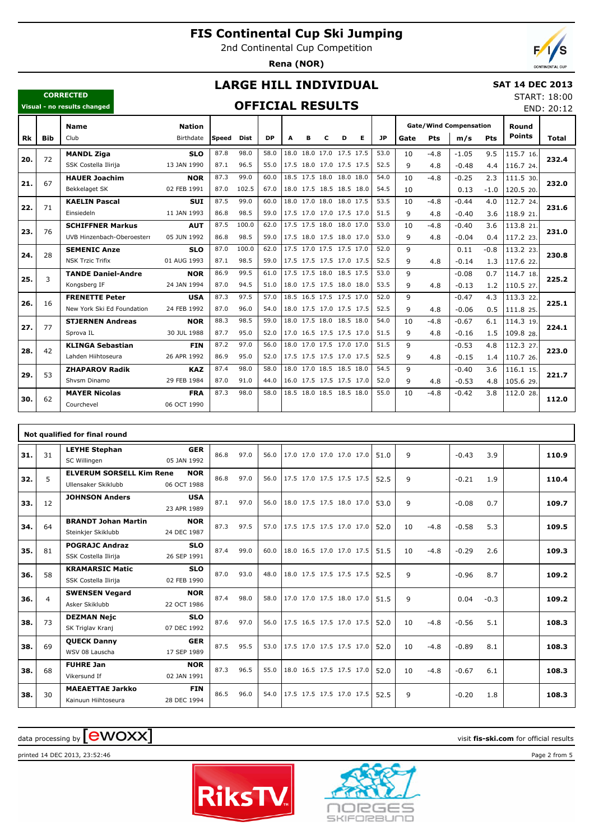2nd Continental Cup Competition

**Rena (NOR)**

END: 20:12

## **LARGE HILL INDIVIDUAL**

### **CORRECTED Visual - no results changed**

### **SAT 14 DEC 2013** START: 18:00

## **OFFICIAL RESULTS**

|     |            | <b>Name</b>                | <b>Nation</b> |        |       |           |                          |   |   |                          |   |           |              |        | <b>Gate/Wind Compensation</b> |            | Round         |       |
|-----|------------|----------------------------|---------------|--------|-------|-----------|--------------------------|---|---|--------------------------|---|-----------|--------------|--------|-------------------------------|------------|---------------|-------|
| Rk  | <b>Bib</b> | Club                       | Birthdate     | lSpeed | Dist  | <b>DP</b> | A                        | в | C | D                        | Е | <b>JP</b> | Gate         | Pts    | m/s                           | <b>Pts</b> | <b>Points</b> | Total |
|     | 72         | <b>MANDL Ziga</b>          | <b>SLO</b>    | 87.8   | 98.0  | 58.0      |                          |   |   | 18.0 18.0 17.0 17.5 17.5 |   | 53.0      | 10           | $-4.8$ | $-1.05$                       | 9.5        | 115.7 16.     |       |
| 20. |            | SSK Costella Ilirija       | 13 JAN 1990   | 87.1   | 96.5  | 55.0      |                          |   |   | 17.5 18.0 17.0 17.5 17.5 |   | 52.5      | 9            | 4.8    | $-0.48$                       | 4.4        | 116.7 24.     | 232.4 |
| 21. | 67         | <b>HAUER Joachim</b>       | <b>NOR</b>    | 87.3   | 99.0  | 60.0      |                          |   |   | 18.5 17.5 18.0 18.0 18.0 |   | 54.0      | 10           | $-4.8$ | $-0.25$                       | 2.3        | 111.5 30.     | 232.0 |
|     |            | Bekkelaget SK              | 02 FEB 1991   | 87.0   | 102.5 | 67.0      |                          |   |   | 18.0 17.5 18.5 18.5 18.0 |   | 54.5      | 10           |        | 0.13                          | $-1.0$     | 120.5 20.     |       |
| 22. | 71         | <b>KAELIN Pascal</b>       | <b>SUI</b>    | 87.5   | 99.0  | 60.0      |                          |   |   | 18.0 17.0 18.0 18.0 17.5 |   | 53.5      | 10           | $-4.8$ | $-0.44$                       | 4.0        | 112.7 24.     | 231.6 |
|     |            | Einsiedeln                 | 11 JAN 1993   | 86.8   | 98.5  | 59.0      |                          |   |   | 17.5 17.0 17.0 17.5 17.0 |   | 51.5      | 9            | 4.8    | $-0.40$                       | 3.6        | 118.9 21.     |       |
| 23. | 76         | <b>SCHIFFNER Markus</b>    | <b>AUT</b>    | 87.5   | 100.0 | 62.0      |                          |   |   | 17.5 17.5 18.0 18.0 17.0 |   | 53.0      | 10           | $-4.8$ | $-0.40$                       | 3.6        | 113.8 21      | 231.0 |
|     |            | UVB Hinzenbach-Oberoesterr | 05 JUN 1992   | 86.8   | 98.5  | 59.0      |                          |   |   | 17.5 18.0 17.5 18.0 17.0 |   | 53.0      | 9            | 4.8    | $-0.04$                       | 0.4        | 117.2 23.     |       |
| 24. | 28         | <b>SEMENIC Anze</b>        | <b>SLO</b>    | 87.0   | 100.0 | 62.0      |                          |   |   | 17.5 17.0 17.5 17.5 17.0 |   | 52.0      | 9            |        | 0.11                          | $-0.8$     | 113.2 23.     | 230.8 |
|     |            | <b>NSK Trzic Trifix</b>    | 01 AUG 1993   | 87.1   | 98.5  | 59.0      |                          |   |   | 17.5 17.5 17.5 17.0 17.5 |   | 52.5      | 9            | 4.8    | $-0.14$                       | 1.3        | 117.6 22.     |       |
| 25. | 3          | <b>TANDE Daniel-Andre</b>  | <b>NOR</b>    | 86.9   | 99.5  | 61.0      |                          |   |   | 17.5 17.5 18.0 18.5 17.5 |   | 53.0      | $\mathsf q$  |        | $-0.08$                       | 0.7        | 114.7 18.     | 225.2 |
|     |            | Kongsberg IF               | 24 JAN 1994   | 87.0   | 94.5  | 51.0      |                          |   |   | 18.0 17.5 17.5 18.0 18.0 |   | 53.5      | 9            | 4.8    | $-0.13$                       | 1.2        | 110.5 27.     |       |
| 26. | 16         | <b>FRENETTE Peter</b>      | <b>USA</b>    | 87.3   | 97.5  | 57.0      |                          |   |   | 18.5 16.5 17.5 17.5 17.0 |   | 52.0      | $\mathsf{q}$ |        | $-0.47$                       | 4.3        | 113.3 22.     | 225.1 |
|     |            | New York Ski Ed Foundation | 24 FEB 1992   | 87.0   | 96.0  | 54.0      |                          |   |   | 18.0 17.5 17.0 17.5 17.5 |   | 52.5      | 9            | 4.8    | $-0.06$                       | 0.5        | 111.8 25.     |       |
| 27. | 77         | <b>STJERNEN Andreas</b>    | <b>NOR</b>    | 88.3   | 98.5  | 59.0      |                          |   |   | 18.0 17.5 18.0 18.5 18.0 |   | 54.0      | 10           | $-4.8$ | $-0.67$                       | 6.1        | 114.3 19.     | 224.1 |
|     |            | Sprova IL                  | 30 JUL 1988   | 87.7   | 95.0  | 52.0      |                          |   |   | 17.0 16.5 17.5 17.5 17.0 |   | 51.5      | $\mathsf{q}$ | 4.8    | $-0.16$                       | 1.5        | 109.8 28.     |       |
| 28. | 42         | <b>KLINGA Sebastian</b>    | <b>FIN</b>    | 87.2   | 97.0  | 56.0      |                          |   |   | 18.0 17.0 17.5 17.0 17.0 |   | 51.5      | 9            |        | $-0.53$                       | 4.8        | 112.3 27.     | 223.0 |
|     |            | Lahden Hiihtoseura         | 26 APR 1992   | 86.9   | 95.0  | 52.0      | 17.5 17.5 17.5 17.0 17.5 |   |   |                          |   | 52.5      | 9            | 4.8    | $-0.15$                       | 1.4        | 110.7 26.     |       |
| 29. | 53         | <b>ZHAPAROV Radik</b>      | <b>KAZ</b>    | 87.4   | 98.0  | 58.0      | 18.0                     |   |   | 17.0 18.5 18.5 18.0      |   | 54.5      | $\mathsf{q}$ |        | $-0.40$                       | 3.6        | 116.1 15.     | 221.7 |
|     |            | Shysm Dinamo               | 29 FEB 1984   | 87.0   | 91.0  | 44.0      |                          |   |   | 16.0 17.5 17.5 17.5 17.0 |   | 52.0      | 9            | 4.8    | $-0.53$                       | 4.8        | 105.6 29.     |       |
| 30. | 62         | <b>MAYER Nicolas</b>       | <b>FRA</b>    | 87.3   | 98.0  | 58.0      |                          |   |   | 18.5 18.0 18.5 18.5 18.0 |   | 55.0      | 10           | $-4.8$ | $-0.42$                       | 3.8        | 112.0 28.     | 112.0 |
|     |            | Courchevel                 | 06 OCT 1990   |        |       |           |                          |   |   |                          |   |           |              |        |                               |            |               |       |

|     | Not qualified for final round<br><b>GER</b> |                                                        |                           |      |      |      |                          |  |  |      |    |        |         |        |       |
|-----|---------------------------------------------|--------------------------------------------------------|---------------------------|------|------|------|--------------------------|--|--|------|----|--------|---------|--------|-------|
| 31. | 31                                          | <b>LEYHE Stephan</b><br>SC Willingen                   | 05 JAN 1992               | 86.8 | 97.0 | 56.0 | 17.0 17.0 17.0 17.0 17.0 |  |  | 51.0 | 9  |        | $-0.43$ | 3.9    | 110.9 |
| 32. | 5                                           | <b>ELVERUM SORSELL Kim Rene</b><br>Ullensaker Skiklubb | <b>NOR</b><br>06 OCT 1988 | 86.8 | 97.0 | 56.0 | 17.5 17.0 17.5 17.5 17.5 |  |  | 52.5 | 9  |        | $-0.21$ | 1.9    | 110.4 |
| 33. | 12                                          | <b>JOHNSON Anders</b>                                  | <b>USA</b><br>23 APR 1989 | 87.1 | 97.0 | 56.0 | 18.0 17.5 17.5 18.0 17.0 |  |  | 53.0 | 9  |        | $-0.08$ | 0.7    | 109.7 |
| 34. | 64                                          | <b>BRANDT Johan Martin</b><br>Steinkjer Skiklubb       | <b>NOR</b><br>24 DEC 1987 | 87.3 | 97.5 | 57.0 | 17.5 17.5 17.5 17.0 17.0 |  |  | 52.0 | 10 | $-4.8$ | $-0.58$ | 5.3    | 109.5 |
| 35. | 81                                          | <b>POGRAJC Andraz</b><br>SSK Costella Ilirija          | <b>SLO</b><br>26 SEP 1991 | 87.4 | 99.0 | 60.0 | 18.0 16.5 17.0 17.0 17.5 |  |  | 51.5 | 10 | $-4.8$ | $-0.29$ | 2.6    | 109.3 |
| 36. | 58                                          | <b>KRAMARSIC Matic</b><br>SSK Costella Ilirija         | <b>SLO</b><br>02 FEB 1990 | 87.0 | 93.0 | 48.0 | 18.0 17.5 17.5 17.5 17.5 |  |  | 52.5 | 9  |        | $-0.96$ | 8.7    | 109.2 |
| 36. | 4                                           | <b>SWENSEN Vegard</b><br>Asker Skiklubb                | <b>NOR</b><br>22 OCT 1986 | 87.4 | 98.0 | 58.0 | 17.0 17.0 17.5 18.0 17.0 |  |  | 51.5 | 9  |        | 0.04    | $-0.3$ | 109.2 |
| 38. | 73                                          | <b>DEZMAN Nejc</b><br>SK Triglav Kranj                 | <b>SLO</b><br>07 DEC 1992 | 87.6 | 97.0 | 56.0 | 17.5 16.5 17.5 17.0 17.5 |  |  | 52.0 | 10 | $-4.8$ | $-0.56$ | 5.1    | 108.3 |
| 38. | 69                                          | <b>QUECK Danny</b><br>WSV 08 Lauscha                   | <b>GER</b><br>17 SEP 1989 | 87.5 | 95.5 | 53.0 | 17.5 17.0 17.5 17.5 17.0 |  |  | 52.0 | 10 | $-4.8$ | $-0.89$ | 8.1    | 108.3 |
| 38. | 68                                          | <b>FUHRE Jan</b><br>Vikersund If                       | <b>NOR</b><br>02 JAN 1991 | 87.3 | 96.5 | 55.0 | 18.0 16.5 17.5 17.5 17.0 |  |  | 52.0 | 10 | $-4.8$ | $-0.67$ | 6.1    | 108.3 |
| 38. | 30                                          | <b>MAEAETTAE Jarkko</b><br>Kainuun Hiihtoseura         | <b>FIN</b><br>28 DEC 1994 | 86.5 | 96.0 | 54.0 | 17.5 17.5 17.5 17.0 17.5 |  |  | 52.5 | 9  |        | $-0.20$ | 1.8    | 108.3 |

# $\alpha$  data processing by  $\boxed{\text{ewOX}}$

printed 14 DEC 2013, 23:52:46 Page 2 from 5



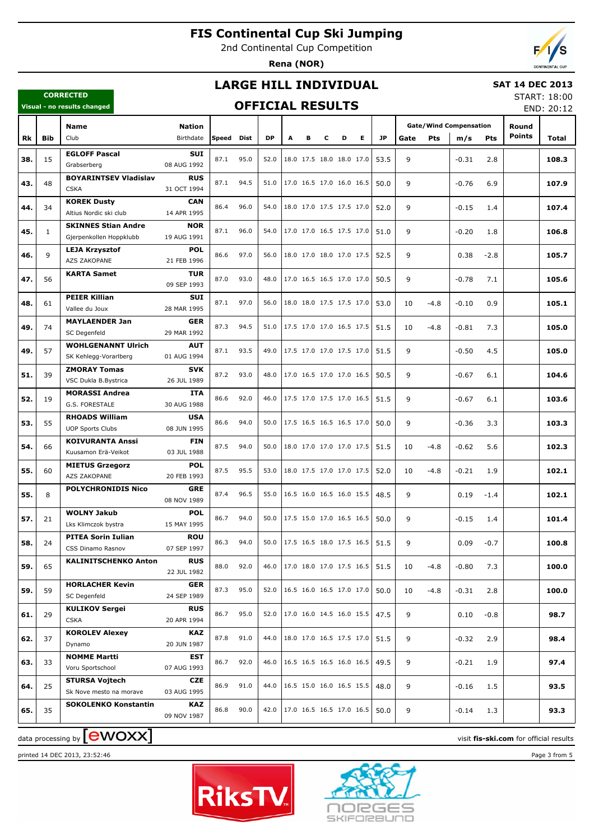2nd Continental Cup Competition

**Rena (NOR)**

### **LARGE HILL INDIVIDUAL**

### **SAT 14 DEC 2013**

### **CORRECTED Visual - no results changed**

### **OFFICIAL RESULTS**

START: 18:00  $EMD: 20:12$ 

|     |              | visual - IIU Fesults tilaliyeu                 | VI I IUIAL INLJULIJ       |       |      |           |   |                          |   |   |   |                                 | END: 20:12 |        |                               |            |               |       |
|-----|--------------|------------------------------------------------|---------------------------|-------|------|-----------|---|--------------------------|---|---|---|---------------------------------|------------|--------|-------------------------------|------------|---------------|-------|
|     |              | <b>Name</b>                                    | <b>Nation</b>             |       |      |           |   |                          |   |   |   |                                 |            |        | <b>Gate/Wind Compensation</b> |            | Round         |       |
| Rk  | <b>Bib</b>   | Club                                           | Birthdate                 | Speed | Dist | <b>DP</b> | A | в                        | c | D | Е | <b>JP</b>                       | Gate       | Pts    | m/s                           | <b>Pts</b> | <b>Points</b> | Total |
|     |              |                                                |                           |       |      |           |   |                          |   |   |   |                                 |            |        |                               |            |               |       |
| 38. | 15           | <b>EGLOFF Pascal</b><br>Grabserberg            | <b>SUI</b><br>08 AUG 1992 | 87.1  | 95.0 | 52.0      |   | 18.0 17.5 18.0 18.0 17.0 |   |   |   | 53.5                            | 9          |        | $-0.31$                       | 2.8        |               | 108.3 |
|     |              | <b>BOYARINTSEV Vladislav</b>                   | <b>RUS</b>                |       |      |           |   |                          |   |   |   |                                 |            |        |                               |            |               |       |
| 43. | 48           | <b>CSKA</b>                                    | 31 OCT 1994               | 87.1  | 94.5 | 51.0      |   | 17.0 16.5 17.0 16.0 16.5 |   |   |   | 50.0                            | 9          |        | $-0.76$                       | 6.9        |               | 107.9 |
|     |              | <b>KOREK Dusty</b>                             | <b>CAN</b>                |       |      |           |   |                          |   |   |   |                                 |            |        |                               |            |               |       |
| 44. | 34           | Altius Nordic ski club                         | 14 APR 1995               | 86.4  | 96.0 | 54.0      |   | 18.0 17.0 17.5 17.5 17.0 |   |   |   | 52.0                            | 9          |        | $-0.15$                       | 1.4        |               | 107.4 |
|     |              | <b>SKINNES Stian Andre</b>                     | <b>NOR</b>                |       |      |           |   |                          |   |   |   |                                 |            |        |                               |            |               |       |
| 45. | $\mathbf{1}$ | Gjerpenkollen Hoppklubb                        | 19 AUG 1991               | 87.1  | 96.0 | 54.0      |   | 17.0 17.0 16.5 17.5 17.0 |   |   |   | 51.0                            | 9          |        | $-0.20$                       | 1.8        |               | 106.8 |
|     |              | <b>LEJA Krzysztof</b>                          | <b>POL</b>                |       |      |           |   |                          |   |   |   |                                 |            |        |                               |            |               |       |
| 46. | 9            | AZS ZAKOPANE                                   | 21 FEB 1996               | 86.6  | 97.0 | 56.0      |   | 18.0 17.0 18.0 17.0 17.5 |   |   |   | 52.5                            | 9          |        | 0.38                          | $-2.8$     |               | 105.7 |
| 47. | 56           | <b>KARTA Samet</b>                             | <b>TUR</b>                | 87.0  | 93.0 | 48.0      |   | 17.0 16.5 16.5 17.0 17.0 |   |   |   | 50.5                            | 9          |        | $-0.78$                       | 7.1        |               | 105.6 |
|     |              |                                                | 09 SEP 1993               |       |      |           |   |                          |   |   |   |                                 |            |        |                               |            |               |       |
| 48. | 61           | <b>PEIER Killian</b>                           | SUI                       | 87.1  | 97.0 | 56.0      |   | 18.0 18.0 17.5 17.5 17.0 |   |   |   | 53.0                            | 10         | $-4.8$ | $-0.10$                       | 0.9        |               | 105.1 |
|     |              | Vallee du Joux                                 | 28 MAR 1995               |       |      |           |   |                          |   |   |   |                                 |            |        |                               |            |               |       |
| 49. | 74           | <b>MAYLAENDER Jan</b>                          | <b>GER</b>                | 87.3  | 94.5 | 51.0      |   | 17.5 17.0 17.0 16.5 17.5 |   |   |   | 51.5                            | 10         | $-4.8$ | $-0.81$                       | 7.3        |               | 105.0 |
|     |              | SC Degenfeld                                   | 29 MAR 1992               |       |      |           |   |                          |   |   |   |                                 |            |        |                               |            |               |       |
| 49. | 57           | <b>WOHLGENANNT Ulrich</b>                      | <b>AUT</b>                | 87.1  | 93.5 | 49.0      |   | 17.5 17.0 17.0 17.5 17.0 |   |   |   | 51.5                            | 9          |        | $-0.50$                       | 4.5        |               | 105.0 |
|     |              | SK Kehlegg-Vorarlberg                          | 01 AUG 1994               |       |      |           |   |                          |   |   |   |                                 |            |        |                               |            |               |       |
| 51. | 39           | <b>ZMORAY Tomas</b>                            | <b>SVK</b>                | 87.2  | 93.0 | 48.0      |   | 17.0 16.5 17.0 17.0 16.5 |   |   |   | 50.5                            | 9          |        | $-0.67$                       | 6.1        |               | 104.6 |
|     |              | VSC Dukla B.Bystrica                           | 26 JUL 1989               |       |      |           |   |                          |   |   |   |                                 |            |        |                               |            |               |       |
| 52. | 19           | <b>MORASSI Andrea</b>                          | ITA                       | 86.6  | 92.0 | 46.0      |   | 17.5 17.0 17.5 17.0 16.5 |   |   |   | 51.5                            | 9          |        | $-0.67$                       | 6.1        |               | 103.6 |
|     |              | G.S. FORESTALE                                 | 30 AUG 1988               |       |      |           |   |                          |   |   |   |                                 |            |        |                               |            |               |       |
| 53. | 55           | <b>RHOADS William</b>                          | <b>USA</b><br>08 JUN 1995 | 86.6  | 94.0 | 50.0      |   | 17.5 16.5 16.5 16.5 17.0 |   |   |   | 50.0                            | 9          |        | $-0.36$                       | 3.3        |               | 103.3 |
|     |              | <b>UOP Sports Clubs</b>                        |                           |       |      |           |   |                          |   |   |   |                                 |            |        |                               |            |               |       |
| 54. | 66           | <b>KOIVURANTA Anssi</b><br>Kuusamon Erä-Veikot | <b>FIN</b><br>03 JUL 1988 | 87.5  | 94.0 | 50.0      |   | 18.0 17.0 17.0 17.0 17.5 |   |   |   | 51.5                            | 10         | $-4.8$ | $-0.62$                       | 5.6        |               | 102.3 |
|     |              | <b>MIETUS Grzegorz</b>                         | <b>POL</b>                |       |      |           |   |                          |   |   |   |                                 |            |        |                               |            |               |       |
| 55. | 60           | AZS ZAKOPANE                                   | 20 FEB 1993               | 87.5  | 95.5 | 53.0      |   | 18.0 17.5 17.0 17.0 17.5 |   |   |   | 52.0                            | 10         | $-4.8$ | $-0.21$                       | 1.9        |               | 102.1 |
|     |              | <b>POLYCHRONIDIS Nico</b>                      | <b>GRE</b>                |       |      |           |   |                          |   |   |   |                                 |            |        |                               |            |               |       |
| 55. | 8            |                                                | 08 NOV 1989               | 87.4  | 96.5 | 55.0      |   | 16.5 16.0 16.5 16.0 15.5 |   |   |   | 48.5                            | 9          |        | 0.19                          | $-1.4$     |               | 102.1 |
|     |              | <b>WOLNY Jakub</b>                             | <b>POL</b>                |       |      |           |   |                          |   |   |   |                                 |            |        |                               |            |               |       |
| 57. | 21           | Lks Klimczok bystra                            | 15 MAY 1995               | 86.7  | 94.0 | 50.0      |   | 17.5 15.0 17.0 16.5 16.5 |   |   |   | 50.0                            | 9          |        | $-0.15$                       | 1.4        |               | 101.4 |
|     |              | <b>PITEA Sorin Iulian</b>                      | <b>ROU</b>                |       |      |           |   |                          |   |   |   |                                 |            |        |                               |            |               |       |
| 58. | 24           | CSS Dinamo Rasnov                              | 07 SEP 1997               | 86.3  | 94.0 | 50.0      |   |                          |   |   |   | 17.5 16.5 18.0 17.5 16.5   51.5 | 9          |        | 0.09                          | $-0.7$     |               | 100.8 |
|     |              | <b>KALINITSCHENKO Anton</b>                    | <b>RUS</b>                |       |      |           |   |                          |   |   |   |                                 |            |        |                               |            |               |       |
| 59. | 65           |                                                | 22 JUL 1982               | 88.0  | 92.0 | 46.0      |   |                          |   |   |   | 17.0 18.0 17.0 17.5 16.5   51.5 | 10         | $-4.8$ | $-0.80$                       | 7.3        |               | 100.0 |
|     |              | <b>HORLACHER Kevin</b>                         | <b>GER</b>                |       | 95.0 |           |   |                          |   |   |   |                                 |            |        |                               |            |               |       |
| 59. | 59           | SC Degenfeld                                   | 24 SEP 1989               | 87.3  |      | 52.0      |   | 16.5 16.0 16.5 17.0 17.0 |   |   |   | 50.0                            | 10         | $-4.8$ | $-0.31$                       | 2.8        |               | 100.0 |
| 61. | 29           | <b>KULIKOV Sergei</b>                          | <b>RUS</b>                | 86.7  | 95.0 | 52.0      |   | 17.0 16.0 14.5 16.0 15.5 |   |   |   | 47.5                            | 9          |        | 0.10                          | $-0.8$     |               | 98.7  |
|     |              | <b>CSKA</b>                                    | 20 APR 1994               |       |      |           |   |                          |   |   |   |                                 |            |        |                               |            |               |       |
| 62. | 37           | <b>KOROLEV Alexey</b>                          | <b>KAZ</b>                | 87.8  | 91.0 | 44.0      |   | 18.0 17.0 16.5 17.5 17.0 |   |   |   | 51.5                            | 9          |        | $-0.32$                       | 2.9        |               | 98.4  |
|     |              | Dynamo                                         | 20 JUN 1987               |       |      |           |   |                          |   |   |   |                                 |            |        |                               |            |               |       |
| 63. | 33           | <b>NOMME Martti</b>                            | <b>EST</b>                | 86.7  | 92.0 | 46.0      |   | 16.5 16.5 16.5 16.0 16.5 |   |   |   | 49.5                            | 9          |        | $-0.21$                       | 1.9        |               | 97.4  |
|     |              | Voru Sportschool                               | 07 AUG 1993               |       |      |           |   |                          |   |   |   |                                 |            |        |                               |            |               |       |
| 64. | 25           | <b>STURSA Vojtech</b>                          | CZE                       | 86.9  | 91.0 | 44.0      |   | 16.5 15.0 16.0 16.5 15.5 |   |   |   | 48.0                            | 9          |        | $-0.16$                       | 1.5        |               | 93.5  |
|     |              | Sk Nove mesto na morave                        | 03 AUG 1995               |       |      |           |   |                          |   |   |   |                                 |            |        |                               |            |               |       |
| 65. | 35           | <b>SOKOLENKO Konstantin</b>                    | <b>KAZ</b>                | 86.8  | 90.0 | 42.0      |   | 17.0 16.5 16.5 17.0 16.5 |   |   |   | 50.0                            | 9          |        | $-0.14$                       | 1.3        |               | 93.3  |
|     |              |                                                | 09 NOV 1987               |       |      |           |   |                          |   |   |   |                                 |            |        |                               |            |               |       |

 $\alpha$  data processing by  $\boxed{\text{ewOX}}$ 



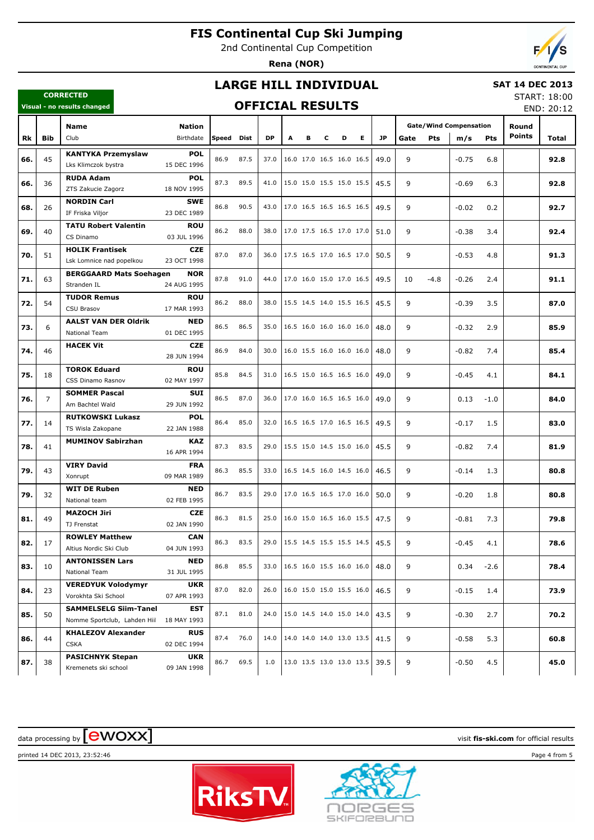2nd Continental Cup Competition

**Rena (NOR)**

### **LARGE HILL INDIVIDUAL**

### **SAT 14 DEC 2013**

### **OFFICIAL RESULTS**

START: 18:00 END: 20:12

|     |                | Visual - no results changed                               |                                         |       |      | UFFICIAL KESULIS |                                      |                          |   |   |    |           |      |        |                               |            |               | END: 20:12 |
|-----|----------------|-----------------------------------------------------------|-----------------------------------------|-------|------|------------------|--------------------------------------|--------------------------|---|---|----|-----------|------|--------|-------------------------------|------------|---------------|------------|
|     |                | <b>Name</b>                                               | <b>Nation</b>                           |       |      |                  |                                      |                          |   |   |    |           |      |        | <b>Gate/Wind Compensation</b> |            | Round         |            |
| Rk  | <b>Bib</b>     | Club                                                      | Birthdate                               | Speed | Dist | <b>DP</b>        | A                                    | В                        | c | D | E. | <b>JP</b> | Gate | Pts    | m/s                           | <b>Pts</b> | <b>Points</b> | Total      |
| 66. | 45             | <b>KANTYKA Przemyslaw</b><br>Lks Klimczok bystra          | <b>POL</b><br>15 DEC 1996               | 86.9  | 87.5 | 37.0             |                                      | 16.0 17.0 16.5 16.0 16.5 |   |   |    | 49.0      | 9    |        | $-0.75$                       | 6.8        |               | 92.8       |
| 66. | 36             | <b>RUDA Adam</b><br>ZTS Zakucie Zagorz                    | <b>POL</b><br>18 NOV 1995               | 87.3  | 89.5 | 41.0             |                                      | 15.0 15.0 15.5 15.0 15.5 |   |   |    | 45.5      | 9    |        | $-0.69$                       | 6.3        |               | 92.8       |
| 68. | 26             | <b>NORDIN Carl</b><br>IF Friska Viljor                    | <b>SWE</b><br>23 DEC 1989               | 86.8  | 90.5 | 43.0             |                                      | 17.0 16.5 16.5 16.5 16.5 |   |   |    | 49.5      | 9    |        | $-0.02$                       | 0.2        |               | 92.7       |
| 69. | 40             | <b>TATU Robert Valentin</b><br>CS Dinamo                  | <b>ROU</b><br>03 JUL 1996               | 86.2  | 88.0 | 38.0             |                                      | 17.0 17.5 16.5 17.0 17.0 |   |   |    | 51.0      | 9    |        | $-0.38$                       | 3.4        |               | 92.4       |
| 70. | 51             | <b>HOLIK Frantisek</b><br>Lsk Lomnice nad popelkou        | <b>CZE</b><br>23 OCT 1998               | 87.0  | 87.0 | 36.0             |                                      | 17.5 16.5 17.0 16.5 17.0 |   |   |    | 50.5      | 9    |        | $-0.53$                       | 4.8        |               | 91.3       |
| 71. | 63             | <b>BERGGAARD Mats Soehagen</b><br>Stranden IL             | <b>NOR</b><br>24 AUG 1995               | 87.8  | 91.0 | 44.0             |                                      | 17.0 16.0 15.0 17.0 16.5 |   |   |    | 49.5      | 10   | $-4.8$ | $-0.26$                       | 2.4        |               | 91.1       |
| 72. | 54             | <b>TUDOR Remus</b><br>CSU Brasov                          | <b>ROU</b><br>17 MAR 1993               | 86.2  | 88.0 | 38.0             |                                      | 15.5 14.5 14.0 15.5 16.5 |   |   |    | 45.5      | 9    |        | $-0.39$                       | 3.5        |               | 87.0       |
| 73. | 6              | <b>AALST VAN DER Oldrik</b><br>National Team              | <b>NED</b><br>01 DEC 1995               | 86.5  | 86.5 | 35.0             |                                      | 16.5 16.0 16.0 16.0 16.0 |   |   |    | 48.0      | 9    |        | $-0.32$                       | 2.9        |               | 85.9       |
| 74. | 46             | <b>HACEK Vit</b>                                          | <b>CZE</b><br>28 JUN 1994               | 86.9  | 84.0 | 30.0             |                                      | 16.0 15.5 16.0 16.0 16.0 |   |   |    | 48.0      | 9    |        | $-0.82$                       | 7.4        |               | 85.4       |
| 75. | 18             | <b>TOROK Eduard</b><br>CSS Dinamo Rasnov                  | <b>ROU</b><br>02 MAY 1997               | 85.8  | 84.5 | 31.0             |                                      | 16.5 15.0 16.5 16.5 16.0 |   |   |    | 49.0      | 9    |        | $-0.45$                       | 4.1        |               | 84.1       |
| 76. | $\overline{7}$ | <b>SOMMER Pascal</b><br>Am Bachtel Wald                   | <b>SUI</b><br>29 JUN 1992               | 86.5  | 87.0 | 36.0             |                                      | 17.0 16.0 16.5 16.5 16.0 |   |   |    | 49.0      | 9    |        | 0.13                          | $-1.0$     |               | 84.0       |
| 77. | 14             | <b>RUTKOWSKI Lukasz</b><br>TS Wisla Zakopane              | <b>POL</b><br>22 JAN 1988               | 86.4  | 85.0 | 32.0             |                                      | 16.5 16.5 17.0 16.5 16.5 |   |   |    | 49.5      | 9    |        | $-0.17$                       | 1.5        |               | 83.0       |
| 78. | 41             | <b>MUMINOV Sabirzhan</b><br><b>VIRY David</b>             | <b>KAZ</b><br>16 APR 1994<br><b>FRA</b> | 87.3  | 83.5 | 29.0             |                                      | 15.5 15.0 14.5 15.0 16.0 |   |   |    | 45.5      | 9    |        | $-0.82$                       | 7.4        |               | 81.9       |
| 79. | 43             | Xonrupt<br><b>WIT DE Ruben</b>                            | 09 MAR 1989<br><b>NED</b>               | 86.3  | 85.5 | 33.0             |                                      | 16.5 14.5 16.0 14.5 16.0 |   |   |    | 46.5      | 9    |        | $-0.14$                       | 1.3        |               | 80.8       |
| 79. | 32             | National team<br><b>MAZOCH Jiri</b>                       | 02 FEB 1995<br><b>CZE</b>               | 86.7  | 83.5 | 29.0             |                                      | 17.0 16.5 16.5 17.0 16.0 |   |   |    | 50.0      | 9    |        | $-0.20$                       | 1.8        |               | 80.8       |
| 81. | 49             | TJ Frenstat<br><b>ROWLEY Matthew</b>                      | 02 JAN 1990<br><b>CAN</b>               | 86.3  | 81.5 | 25.0             |                                      | 16.0 15.0 16.5 16.0 15.5 |   |   |    | 47.5      | 9    |        | $-0.81$                       | 7.3        |               | 79.8       |
| 82. | 17             | Altius Nordic Ski Club<br><b>ANTONISSEN Lars</b>          | 04 JUN 1993<br>NED                      | 86.3  | 83.5 | 29.0             | $ 15.5 \t14.5 \t15.5 \t15.5 \t14.5 $ |                          |   |   |    | 45.5      | 9    |        | $-0.45$                       | 4.1        |               | 78.6       |
| 83. | 10             | National Team<br><b>VEREDYUK Volodymyr</b>                | 31 JUL 1995<br><b>UKR</b>               | 86.8  | 85.5 | 33.0             |                                      | 16.5 16.0 15.5 16.0 16.0 |   |   |    | 48.0      | 9    |        | 0.34                          | $-2.6$     |               | 78.4       |
| 84. | 23             | Vorokhta Ski School<br><b>SAMMELSELG Siim-Tanel</b>       | 07 APR 1993<br>EST                      | 87.0  | 82.0 | 26.0             |                                      | 16.0 15.0 15.0 15.5 16.0 |   |   |    | 46.5      | 9    |        | $-0.15$                       | 1.4        |               | 73.9       |
| 85. | 50             | Nomme Sportclub, Lahden Hiil<br><b>KHALEZOV Alexander</b> | 18 MAY 1993<br><b>RUS</b>               | 87.1  | 81.0 | 24.0             |                                      | 15.0 14.5 14.0 15.0 14.0 |   |   |    | 43.5      | 9    |        | $-0.30$                       | 2.7        |               | 70.2       |
| 86. | 44             | <b>CSKA</b><br><b>PASICHNYK Stepan</b>                    | 02 DEC 1994<br>UKR                      | 87.4  | 76.0 | 14.0             |                                      | 14.0 14.0 14.0 13.0 13.5 |   |   |    | 41.5      | 9    |        | $-0.58$                       | 5.3        |               | 60.8       |
| 87. | 38             | Kremenets ski school                                      | 09 JAN 1998                             | 86.7  | 69.5 | 1.0              |                                      | 13.0 13.5 13.0 13.0 13.5 |   |   |    | 39.5      | 9    |        | $-0.50$                       | 4.5        |               | 45.0       |

# $\alpha$  data processing by  $\boxed{\text{ewOX}}$

**CORRECTED**